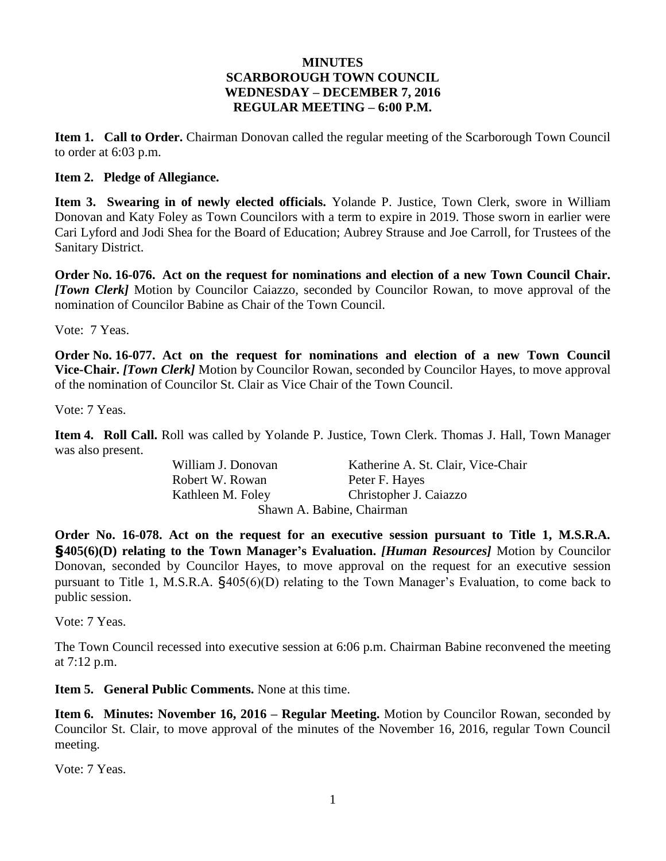#### **MINUTES SCARBOROUGH TOWN COUNCIL WEDNESDAY – DECEMBER 7, 2016 REGULAR MEETING – 6:00 P.M.**

**Item 1. Call to Order.** Chairman Donovan called the regular meeting of the Scarborough Town Council to order at 6:03 p.m.

#### **Item 2. Pledge of Allegiance.**

**Item 3. Swearing in of newly elected officials.** Yolande P. Justice, Town Clerk, swore in William Donovan and Katy Foley as Town Councilors with a term to expire in 2019. Those sworn in earlier were Cari Lyford and Jodi Shea for the Board of Education; Aubrey Strause and Joe Carroll, for Trustees of the Sanitary District.

**Order No. 16-076. Act on the request for nominations and election of a new Town Council Chair.**  *[Town Clerk]* Motion by Councilor Caiazzo, seconded by Councilor Rowan, to move approval of the nomination of Councilor Babine as Chair of the Town Council.

Vote: 7 Yeas.

**Order No. 16-077. Act on the request for nominations and election of a new Town Council Vice-Chair.** *[Town Clerk]* Motion by Councilor Rowan, seconded by Councilor Hayes, to move approval of the nomination of Councilor St. Clair as Vice Chair of the Town Council.

Vote: 7 Yeas.

**Item 4. Roll Call.** Roll was called by Yolande P. Justice, Town Clerk. Thomas J. Hall, Town Manager was also present.

Robert W. Rowan Peter F. Hayes

William J. Donovan Katherine A. St. Clair, Vice-Chair Kathleen M. Foley Christopher J. Caiazzo Shawn A. Babine, Chairman

**Order No. 16-078. Act on the request for an executive session pursuant to Title 1, M.S.R.A. §405(6)(D) relating to the Town Manager's Evaluation.** *[Human Resources]* Motion by Councilor Donovan, seconded by Councilor Hayes, to move approval on the request for an executive session pursuant to Title 1, M.S.R.A. §405(6)(D) relating to the Town Manager's Evaluation, to come back to public session.

Vote: 7 Yeas.

The Town Council recessed into executive session at 6:06 p.m. Chairman Babine reconvened the meeting at 7:12 p.m.

**Item 5. General Public Comments.** None at this time.

**Item 6. Minutes: November 16, 2016 – Regular Meeting.** Motion by Councilor Rowan, seconded by Councilor St. Clair, to move approval of the minutes of the November 16, 2016, regular Town Council meeting.

Vote: 7 Yeas.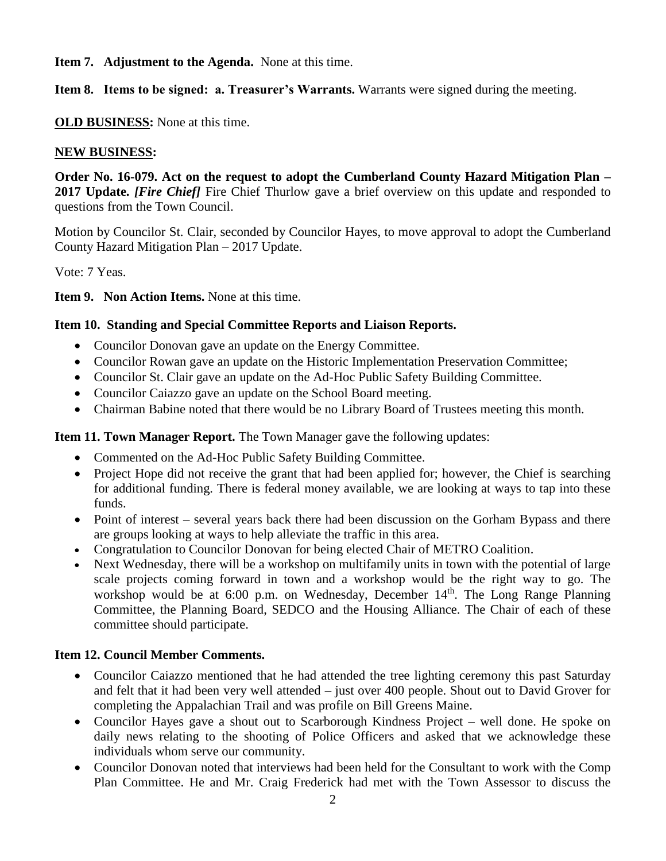**Item 7. Adjustment to the Agenda.** None at this time.

**Item 8. Items to be signed: a. Treasurer's Warrants.** Warrants were signed during the meeting.

**OLD BUSINESS:** None at this time.

### **NEW BUSINESS:**

**Order No. 16-079. Act on the request to adopt the Cumberland County Hazard Mitigation Plan –** 2017 Update. *[Fire Chief]* Fire Chief Thurlow gave a brief overview on this update and responded to questions from the Town Council.

Motion by Councilor St. Clair, seconded by Councilor Hayes, to move approval to adopt the Cumberland County Hazard Mitigation Plan – 2017 Update.

Vote: 7 Yeas.

**Item 9. Non Action Items.** None at this time.

## **Item 10. Standing and Special Committee Reports and Liaison Reports.**

- Councilor Donovan gave an update on the Energy Committee.
- Councilor Rowan gave an update on the Historic Implementation Preservation Committee;
- Councilor St. Clair gave an update on the Ad-Hoc Public Safety Building Committee.
- Councilor Caiazzo gave an update on the School Board meeting.
- Chairman Babine noted that there would be no Library Board of Trustees meeting this month.

**Item 11. Town Manager Report.** The Town Manager gave the following updates:

- Commented on the Ad-Hoc Public Safety Building Committee.
- Project Hope did not receive the grant that had been applied for; however, the Chief is searching for additional funding. There is federal money available, we are looking at ways to tap into these funds.
- Point of interest several years back there had been discussion on the Gorham Bypass and there are groups looking at ways to help alleviate the traffic in this area.
- Congratulation to Councilor Donovan for being elected Chair of METRO Coalition.
- Next Wednesday, there will be a workshop on multifamily units in town with the potential of large scale projects coming forward in town and a workshop would be the right way to go. The workshop would be at 6:00 p.m. on Wednesday, December 14<sup>th</sup>. The Long Range Planning Committee, the Planning Board, SEDCO and the Housing Alliance. The Chair of each of these committee should participate.

# **Item 12. Council Member Comments.**

- Councilor Caiazzo mentioned that he had attended the tree lighting ceremony this past Saturday and felt that it had been very well attended – just over 400 people. Shout out to David Grover for completing the Appalachian Trail and was profile on Bill Greens Maine.
- Councilor Hayes gave a shout out to Scarborough Kindness Project well done. He spoke on daily news relating to the shooting of Police Officers and asked that we acknowledge these individuals whom serve our community.
- Councilor Donovan noted that interviews had been held for the Consultant to work with the Comp Plan Committee. He and Mr. Craig Frederick had met with the Town Assessor to discuss the